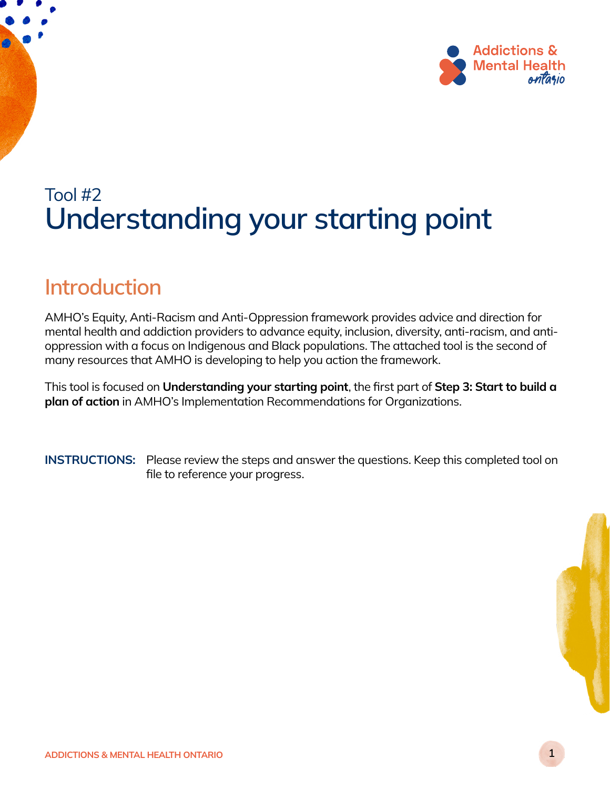

## Tool #2 Understanding your starting point

#### Introduction

AMHO's Equity, Anti-Racism and Anti-Oppression framework provides advice and direction for mental health and addiction providers to advance equity, inclusion, diversity, anti-racism, and antioppression with a focus on Indigenous and Black populations. The attached tool is the second of many resources that AMHO is developing to help you action the framework.

This tool is focused on **Understanding your starting point**, the first part of **Step 3: Start to build a** plan of action in AMHO's Implementation Recommendations for Organizations.

INSTRUCTIONS: Please review the steps and answer the questions. Keep this completed tool on file to reference your progress.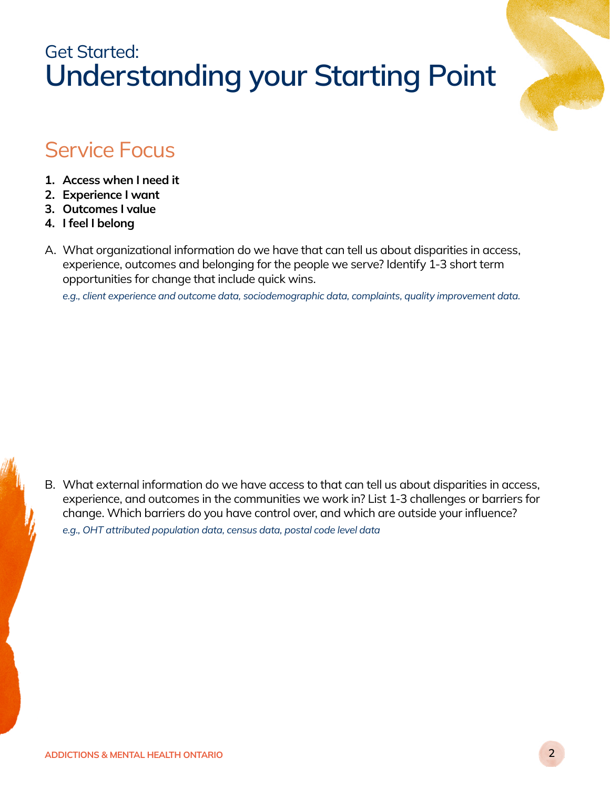# Get Started: Understanding your Starting Point



#### Service Focus

- 1. Access when I need it
- 2. Experience I want
- 3. Outcomes I value
- 4. I feel I belong
- A. What organizational information do we have that can tell us about disparities in access, experience, outcomes and belonging for the people we serve? Identify 1-3 short term opportunities for change that include quick wins.

*e.g., client experience and outcome data, sociodemographic data, complaints, quality improvement data.*

B. What external information do we have access to that can tell us about disparities in access, experience, and outcomes in the communities we work in? List 1-3 challenges or barriers for change. Which barriers do you have control over, and which are outside your influence? *e.g., OHT attributed population data, census data, postal code level data*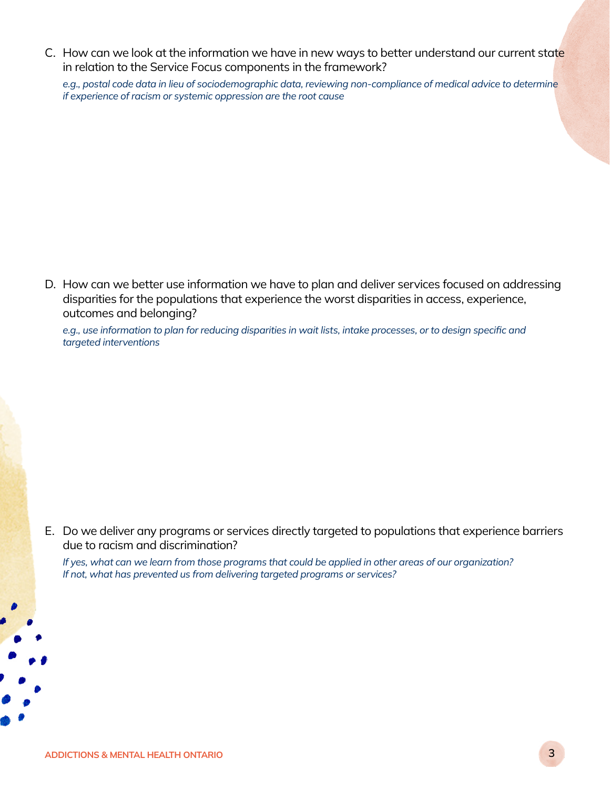C. How can we look at the information we have in new ways to better understand our current state in relation to the Service Focus components in the framework?

*e.g., postal code data in lieu of sociodemographic data, reviewing non-compliance of medical advice to determine if experience of racism or systemic oppression are the root cause*

D. How can we better use information we have to plan and deliver services focused on addressing disparities for the populations that experience the worst disparities in access, experience, outcomes and belonging?

e.g., use information to plan for reducing disparities in wait lists, intake processes, or to design specific and *targeted interventions*

E. Do we deliver any programs or services directly targeted to populations that experience barriers due to racism and discrimination?

*If yes, what can we learn from those programs that could be applied in other areas of our organization? If not, what has prevented us from delivering targeted programs or services?*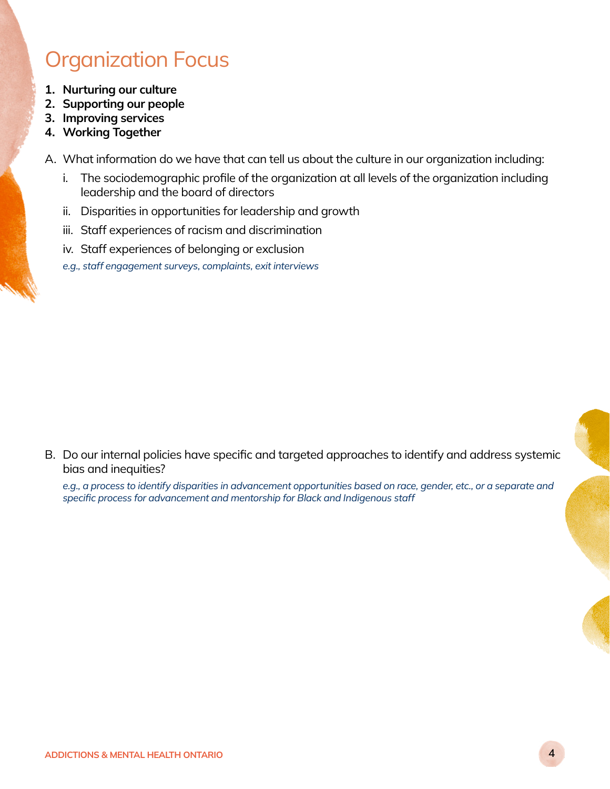### Organization Focus

- 1. Nurturing our culture
- 2. Supporting our people
- 3. Improving services
- 4. Working Together
- A. What information do we have that can tell us about the culture in our organization including:
	- i. The sociodemographic profile of the organization at all levels of the organization including leadership and the board of directors
	- ii. Disparities in opportunities for leadership and growth
	- iii. Staff experiences of racism and discrimination
	- iv. Staff experiences of belonging or exclusion
	- *e.g., staff engagement surveys, complaints, exit interviews*

B. Do our internal policies have specific and targeted approaches to identify and address systemic bias and inequities?

e.g., a process to identify disparities in advancement opportunities based on race, gender, etc., or a separate and *specific process for advancement and mentorship for Black and Indigenous staff*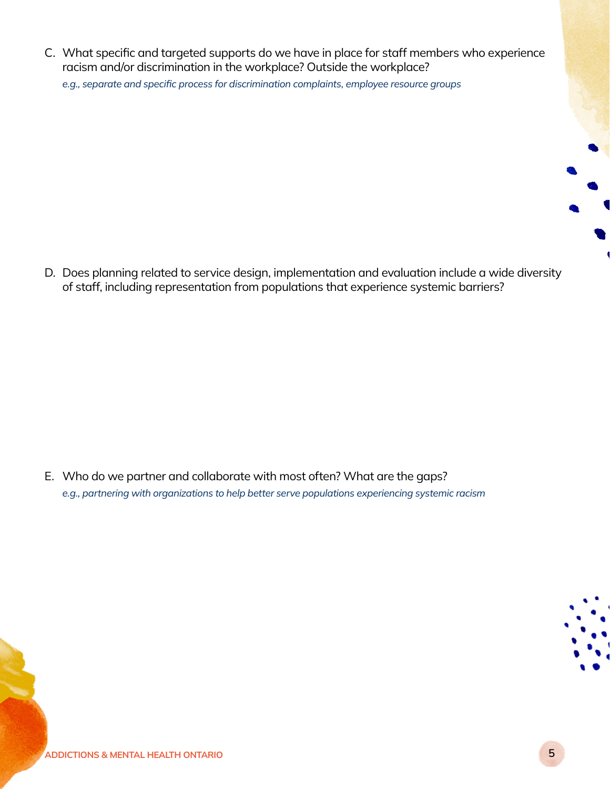C. What specific and targeted supports do we have in place for staff members who experience racism and/or discrimination in the workplace? Outside the workplace?

*e.g., separate and specific process for discrimination complaints, employee resource groups*

D. Does planning related to service design, implementation and evaluation include a wide diversity of staff, including representation from populations that experience systemic barriers?

E. Who do we partner and collaborate with most often? What are the gaps? *e.g., partnering with organizations to help better serve populations experiencing systemic racism*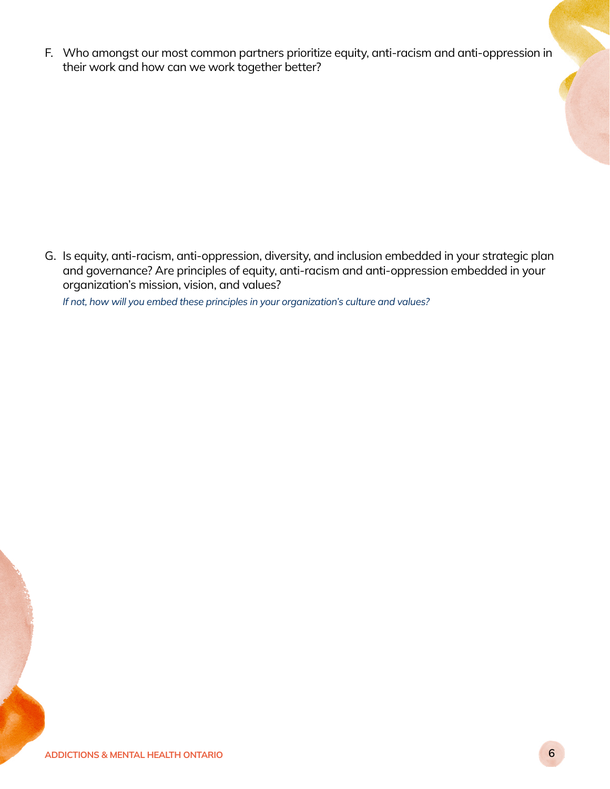F. Who amongst our most common partners prioritize equity, anti-racism and anti-oppression in their work and how can we work together better?

G. Is equity, anti-racism, anti-oppression, diversity, and inclusion embedded in your strategic plan and governance? Are principles of equity, anti-racism and anti-oppression embedded in your organization's mission, vision, and values?

*If not, how will you embed these principles in your organization's culture and values?*